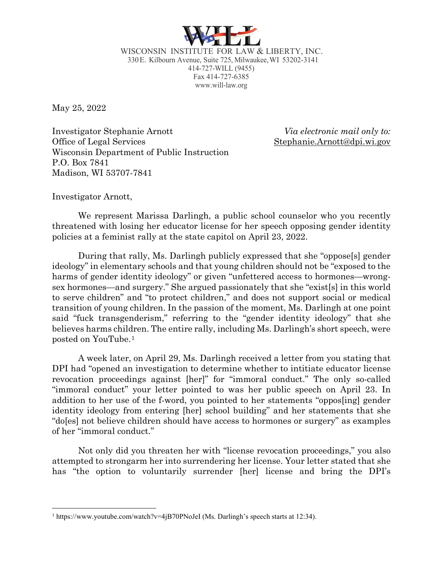

WISCONSIN INSTITUTE FOR LAW & LIBERTY, INC. 330E. Kilbourn Avenue, Suite 725, Milwaukee,WI 53202-3141 414-727-WILL (9455) Fax 414-727-6385 www.will-law.org

May 25, 2022

Investigator Stephanie Arnott *Via electronic mail only to:* Office of Legal Services Stephanie.Arnott@dpi.wi.gov Wisconsin Department of Public Instruction P.O. Box 7841 Madison, WI 53707-7841

Investigator Arnott,

We represent Marissa Darlingh, a public school counselor who you recently threatened with losing her educator license for her speech opposing gender identity policies at a feminist rally at the state capitol on April 23, 2022.

During that rally, Ms. Darlingh publicly expressed that she "oppose[s] gender ideology" in elementary schools and that young children should not be "exposed to the harms of gender identity ideology" or given "unfettered access to hormones—wrongsex hormones—and surgery." She argued passionately that she "exist[s] in this world to serve children" and "to protect children," and does not support social or medical transition of young children. In the passion of the moment, Ms. Darlingh at one point said "fuck transgenderism," referring to the "gender identity ideology" that she believes harms children. The entire rally, including Ms. Darlingh's short speech, were posted on YouTube.[1](#page-0-0)

A week later, on April 29, Ms. Darlingh received a letter from you stating that DPI had "opened an investigation to determine whether to intitiate educator license revocation proceedings against [her]" for "immoral conduct." The only so-called "immoral conduct" your letter pointed to was her public speech on April 23. In addition to her use of the f-word, you pointed to her statements "oppos[ing] gender identity ideology from entering [her] school building" and her statements that she "do[es] not believe children should have access to hormones or surgery" as examples of her "immoral conduct."

Not only did you threaten her with "license revocation proceedings," you also attempted to strongarm her into surrendering her license. Your letter stated that she has "the option to voluntarily surrender [her] license and bring the DPI's

<span id="page-0-0"></span><sup>&</sup>lt;sup>1</sup> https://www.youtube.com/watch?v=4jB70PNoJeI (Ms. Darlingh's speech starts at 12:34).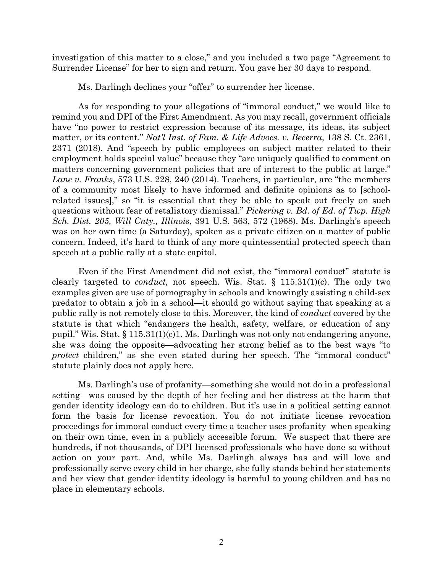investigation of this matter to a close," and you included a two page "Agreement to Surrender License" for her to sign and return. You gave her 30 days to respond.

Ms. Darlingh declines your "offer" to surrender her license.

As for responding to your allegations of "immoral conduct," we would like to remind you and DPI of the First Amendment. As you may recall, government officials have "no power to restrict expression because of its message, its ideas, its subject matter, or its content." *Nat'l Inst. of Fam. & Life Advocs. v. Becerra*, 138 S. Ct. 2361, 2371 (2018). And "speech by public employees on subject matter related to their employment holds special value" because they "are uniquely qualified to comment on matters concerning government policies that are of interest to the public at large." *Lane v. Franks*, 573 U.S. 228, 240 (2014). Teachers, in particular, are "the members of a community most likely to have informed and definite opinions as to [schoolrelated issues]," so "it is essential that they be able to speak out freely on such questions without fear of retaliatory dismissal." *Pickering v. Bd. of Ed. of Twp. High Sch. Dist. 205, Will Cnty., Illinois*, 391 U.S. 563, 572 (1968). Ms. Darlingh's speech was on her own time (a Saturday), spoken as a private citizen on a matter of public concern. Indeed, it's hard to think of any more quintessential protected speech than speech at a public rally at a state capitol.

Even if the First Amendment did not exist, the "immoral conduct" statute is clearly targeted to *conduct,* not speech. Wis. Stat. § 115.31(1)(c). The only two examples given are use of pornography in schools and knowingly assisting a child-sex predator to obtain a job in a school—it should go without saying that speaking at a public rally is not remotely close to this. Moreover, the kind of *conduct* covered by the statute is that which "endangers the health, safety, welfare, or education of any pupil." Wis. Stat.  $\S 115.31(1)(c)1$ . Ms. Darlingh was not only not endangering anyone, she was doing the opposite—advocating her strong belief as to the best ways "to *protect* children," as she even stated during her speech. The "immoral conduct" statute plainly does not apply here.

Ms. Darlingh's use of profanity—something she would not do in a professional setting—was caused by the depth of her feeling and her distress at the harm that gender identity ideology can do to children. But it's use in a political setting cannot form the basis for license revocation. You do not initiate license revocation proceedings for immoral conduct every time a teacher uses profanity when speaking on their own time, even in a publicly accessible forum. We suspect that there are hundreds, if not thousands, of DPI licensed professionals who have done so without action on your part. And, while Ms. Darlingh always has and will love and professionally serve every child in her charge, she fully stands behind her statements and her view that gender identity ideology is harmful to young children and has no place in elementary schools.